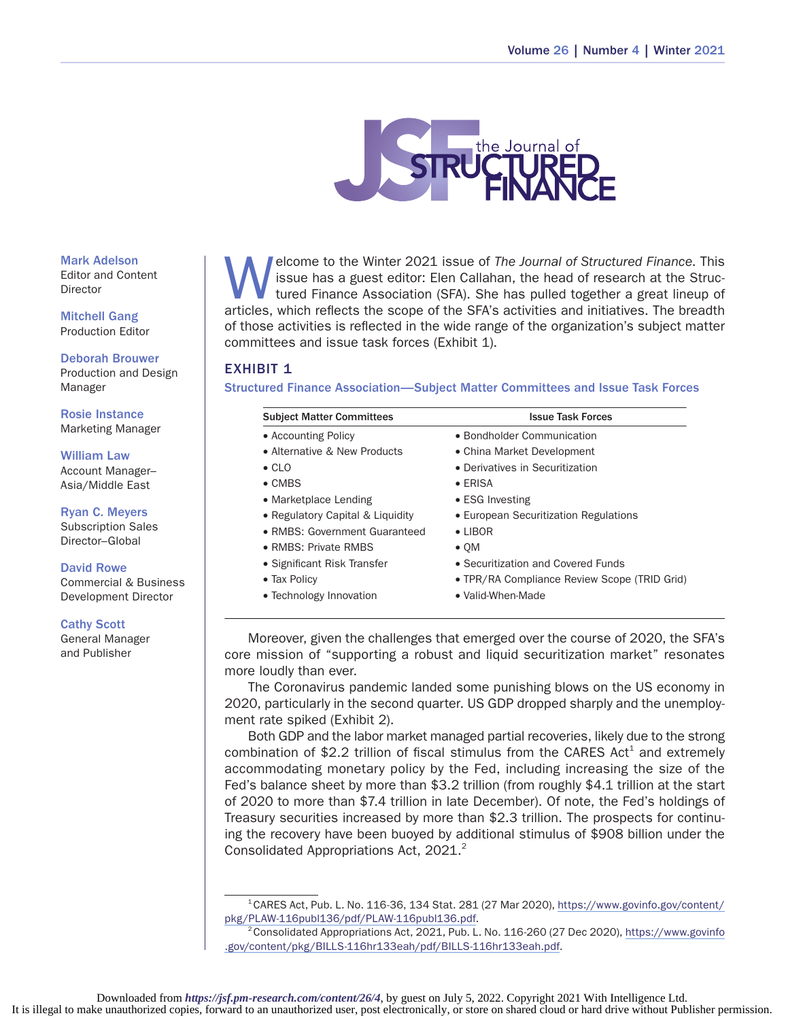

Elecome to the Winter 2021 issue of *The Journal of Structured Finance*. This<br>issue has a guest editor: Elen Callahan, the head of research at the Struc-<br>tured Finance Association (SFA). She has pulled together a great lin issue has a guest editor: Elen Callahan, the head of research at the Structured Finance Association (SFA). She has pulled together a great lineup of articles, which reflects the scope of the SFA's activities and initiatives. The breadth of those activities is reflected in the wide range of the organization's subject matter committees and issue task forces (Exhibit 1).

## EXHIBIT 1

Structured Finance Association—Subject Matter Committees and Issue Task Forces

| <b>Subject Matter Committees</b> | <b>Issue Task Forces</b>                     |
|----------------------------------|----------------------------------------------|
| • Accounting Policy              | • Bondholder Communication                   |
| • Alternative & New Products     | • China Market Development                   |
| $\bullet$ CLO                    | • Derivatives in Securitization              |
| $\bullet$ CMBS                   | $\bullet$ ERISA                              |
| • Marketplace Lending            | $\bullet$ ESG Investing                      |
| • Regulatory Capital & Liquidity | • European Securitization Regulations        |
| • RMBS: Government Guaranteed    | $\bullet$ I IBOR                             |
| • RMBS: Private RMBS             | $\bullet$ QM                                 |
| • Significant Risk Transfer      | • Securitization and Covered Funds           |
| • Tax Policy                     | • TPR/RA Compliance Review Scope (TRID Grid) |
| • Technology Innovation          | • Valid-When-Made                            |

Moreover, given the challenges that emerged over the course of 2020, the SFA's core mission of "supporting a robust and liquid securitization market" resonates more loudly than ever.

The Coronavirus pandemic landed some punishing blows on the US economy in 2020, particularly in the second quarter. US GDP dropped sharply and the unemploy‑ ment rate spiked (Exhibit 2).

Both GDP and the labor market managed partial recoveries, likely due to the strong combination of \$2.2 trillion of fiscal stimulus from the CARES Act<sup>1</sup> and extremely accommodating monetary policy by the Fed, including increasing the size of the Fed's balance sheet by more than \$3.2 trillion (from roughly \$4.1 trillion at the start of 2020 to more than \$7.4 trillion in late December). Of note, the Fed's holdings of Treasury securities increased by more than \$2.3 trillion. The prospects for continu‑ ing the recovery have been buoyed by additional stimulus of \$908 billion under the Consolidated Appropriations Act, 2021.<sup>2</sup>

 $1$ CARES Act, Pub. L. No. 116-36, 134 Stat. 281 (27 Mar 2020), [https://www.govinfo.gov/content/](https://www.govinfo.gov/content/pkg/PLAW-116publ136/pdf/PLAW-116publ136.pdf) [pkg/PLAW-116publ136/pdf/PLAW-116publ136.pdf](https://www.govinfo.gov/content/pkg/PLAW-116publ136/pdf/PLAW-116publ136.pdf).

2Consolidated Appropriations Act, 2021, Pub. L. No. 116-260 (27 Dec 2020), [https://www.govinfo](https://www.govinfo.gov/content/pkg/BILLS-116hr133eah/pdf/BILLS-116hr133eah.pdf) [.gov/content/pkg/BILLS-116hr133eah/pdf/BILLS-116hr133eah.pdf.](https://www.govinfo.gov/content/pkg/BILLS-116hr133eah/pdf/BILLS-116hr133eah.pdf)

Mark Adelson Editor and Content Director

Mitchell Gang Production Editor

Deborah Brouwer Production and Design Manager

Rosie Instance Marketing Manager

William Law Account Manager– Asia/Middle East

Ryan C. Meyers Subscription Sales Director–Global

#### David Rowe

Commercial & Business Development Director

#### Cathy Scott

General Manager and Publisher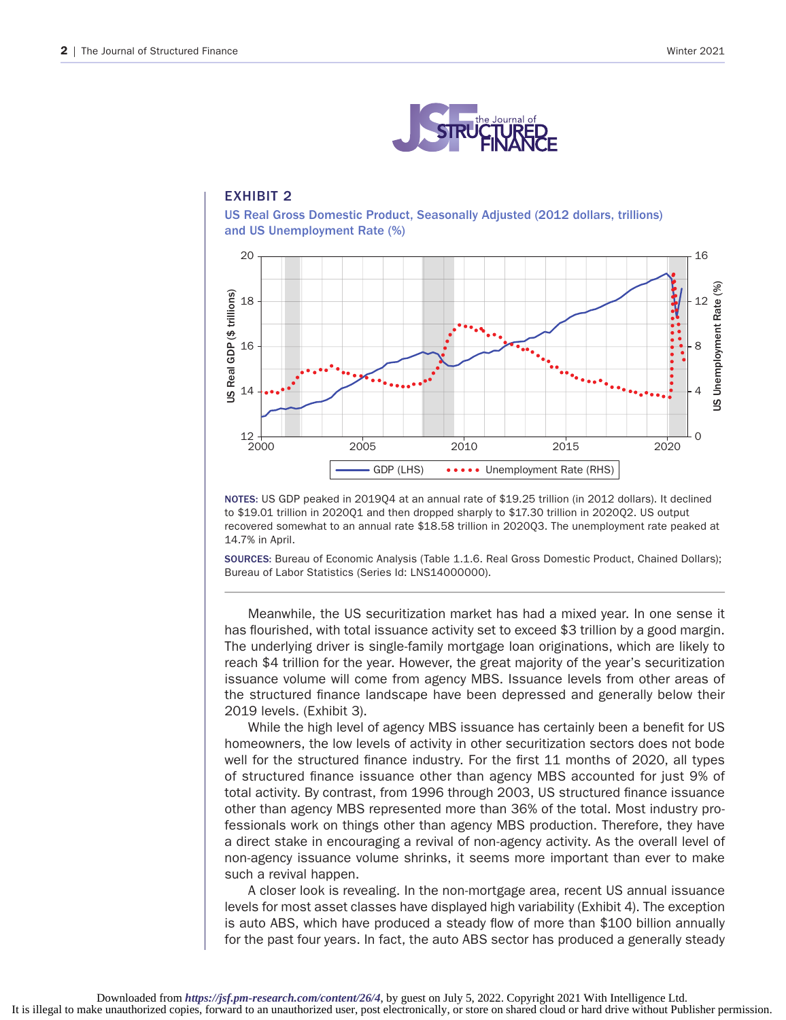

# EXHIBIT 2

US Real Gross Domestic Product, Seasonally Adjusted (2012 dollars, trillions) and US Unemployment Rate (%)



NOTES: US GDP peaked in 2019Q4 at an annual rate of \$19.25 trillion (in 2012 dollars). It declined to \$19.01 trillion in 2020Q1 and then dropped sharply to \$17.30 trillion in 2020Q2. US output recovered somewhat to an annual rate \$18.58 trillion in 2020Q3. The unemployment rate peaked at 14.7% in April.

SOURCES: Bureau of Economic Analysis (Table 1.1.6. Real Gross Domestic Product, Chained Dollars); Bureau of Labor Statistics (Series Id: LNS14000000).

Meanwhile, the US securitization market has had a mixed year. In one sense it has flourished, with total issuance activity set to exceed \$3 trillion by a good margin. The underlying driver is single-family mortgage loan originations, which are likely to reach \$4 trillion for the year. However, the great majority of the year's securitization issuance volume will come from agency MBS. Issuance levels from other areas of the structured finance landscape have been depressed and generally below their 2019 levels. (Exhibit 3).

While the high level of agency MBS issuance has certainly been a benefit for US homeowners, the low levels of activity in other securitization sectors does not bode well for the structured finance industry. For the first 11 months of 2020, all types of structured finance issuance other than agency MBS accounted for just 9% of total activity. By contrast, from 1996 through 2003, US structured finance issuance other than agency MBS represented more than 36% of the total. Most industry pro‑ fessionals work on things other than agency MBS production. Therefore, they have a direct stake in encouraging a revival of non-agency activity. As the overall level of non-agency issuance volume shrinks, it seems more important than ever to make such a revival happen.

A closer look is revealing. In the non-mortgage area, recent US annual issuance levels for most asset classes have displayed high variability (Exhibit 4). The exception is auto ABS, which have produced a steady flow of more than \$100 billion annually for the past four years. In fact, the auto ABS sector has produced a generally steady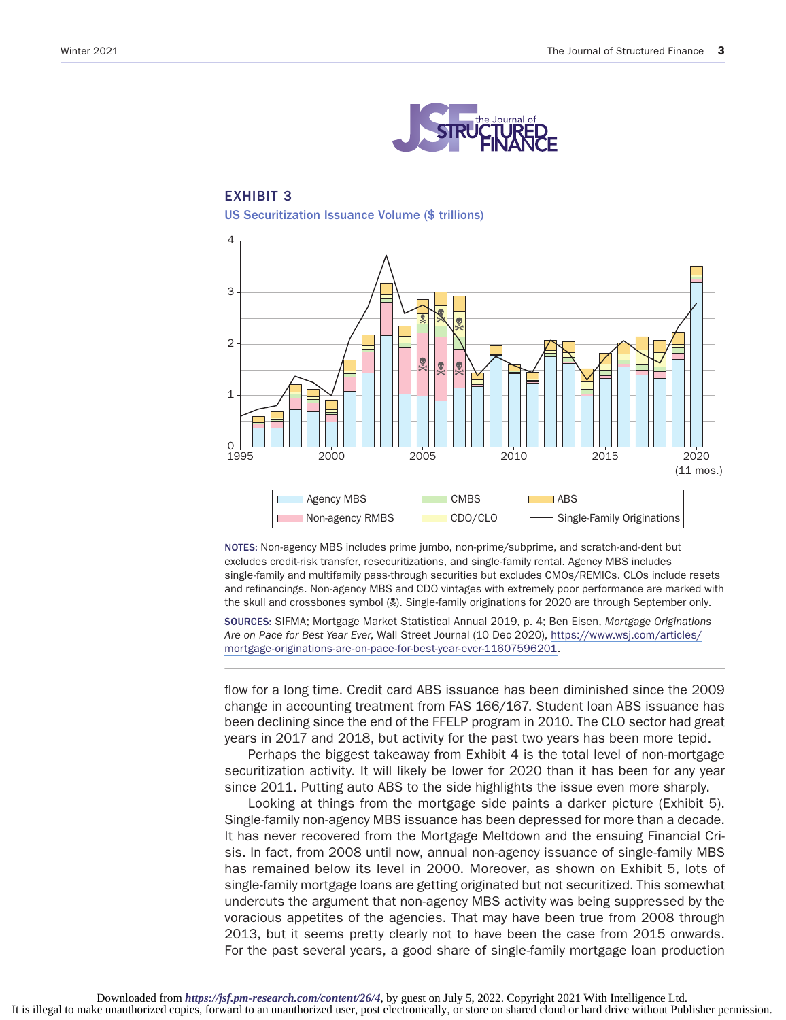

## EXHIBIT 3 US Securitization Issuance Volume (\$ trillions)



NOTES: Non-agency MBS includes prime jumbo, non-prime/subprime, and scratch-and-dent but excludes credit-risk transfer, resecuritizations, and single-family rental. Agency MBS includes single-family and multifamily pass-through securities but excludes CMOs/REMICs. CLOs include resets and refinancings. Non‑agency MBS and CDO vintages with extremely poor performance are marked with the skull and crossbones symbol (2). Single-family originations for 2020 are through September only.

SOURCES: SIFMA; Mortgage Market Statistical Annual 2019, p. 4; Ben Eisen, *Mortgage Originations Are on Pace for Best Year Ever*, Wall Street Journal (10 Dec 2020), [https://www.wsj.com/articles/](https://www.wsj.com/articles/mortgage-originations-are-on-pace-for-best-year-ever-11607596201) [mortgage-originations-are-on-pace-for-best-year-ever-11607596201.](https://www.wsj.com/articles/mortgage-originations-are-on-pace-for-best-year-ever-11607596201)

flow for a long time. Credit card ABS issuance has been diminished since the 2009 change in accounting treatment from FAS 166/167. Student loan ABS issuance has been declining since the end of the FFELP program in 2010. The CLO sector had great years in 2017 and 2018, but activity for the past two years has been more tepid.

Perhaps the biggest takeaway from Exhibit 4 is the total level of non-mortgage securitization activity. It will likely be lower for 2020 than it has been for any year since 2011. Putting auto ABS to the side highlights the issue even more sharply.

Looking at things from the mortgage side paints a darker picture (Exhibit 5). Single-family non-agency MBS issuance has been depressed for more than a decade. It has never recovered from the Mortgage Meltdown and the ensuing Financial Crisis. In fact, from 2008 until now, annual non-agency issuance of single-family MBS has remained below its level in 2000. Moreover, as shown on Exhibit 5, lots of single-family mortgage loans are getting originated but not securitized. This somewhat undercuts the argument that non-agency MBS activity was being suppressed by the voracious appetites of the agencies. That may have been true from 2008 through 2013, but it seems pretty clearly not to have been the case from 2015 onwards. For the past several years, a good share of single-family mortgage loan production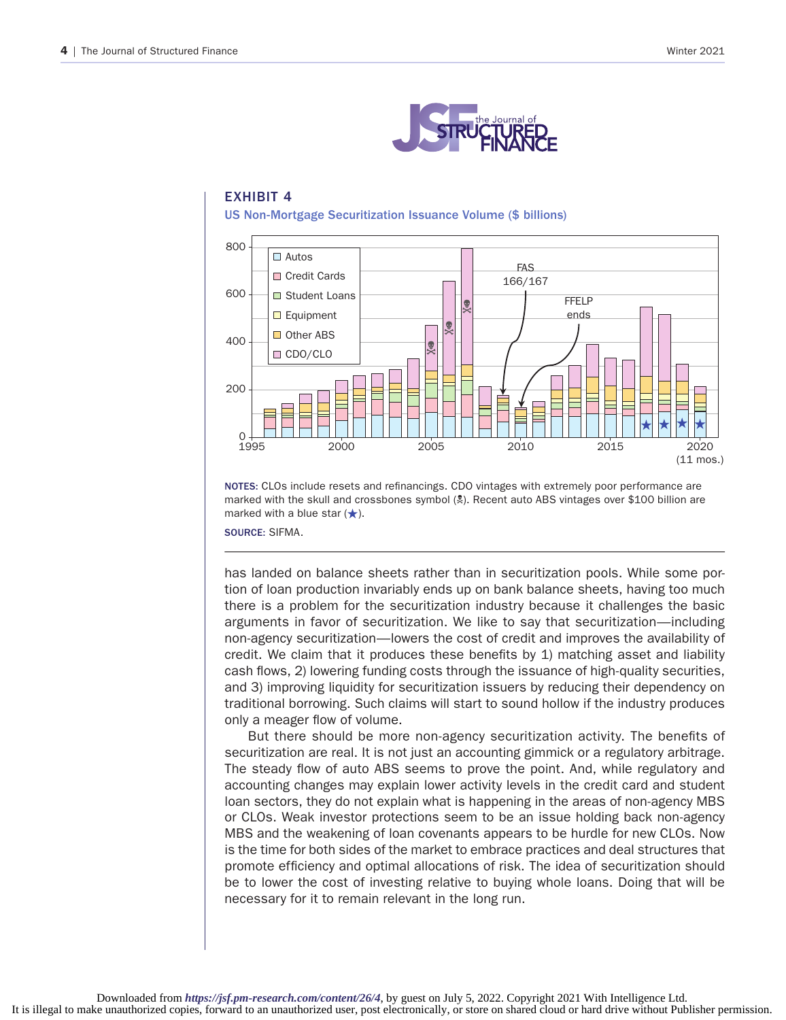

## EXHIBIT 4 US Non-Mortgage Securitization Issuance Volume (\$ billions)



NOTES: CLOs include resets and refinancings. CDO vintages with extremely poor performance are marked with the skull and crossbones symbol (N). Recent auto ABS vintages over \$100 billion are marked with a blue star  $(\star)$ .

SOURCE: SIFMA.

has landed on balance sheets rather than in securitization pools. While some portion of loan production invariably ends up on bank balance sheets, having too much there is a problem for the securitization industry because it challenges the basic arguments in favor of securitization. We like to say that securitization—including non-agency securitization—lowers the cost of credit and improves the availability of credit. We claim that it produces these benefits by 1) matching asset and liability cash flows, 2) lowering funding costs through the issuance of high-quality securities, and 3) improving liquidity for securitization issuers by reducing their dependency on traditional borrowing. Such claims will start to sound hollow if the industry produces only a meager flow of volume.

But there should be more non-agency securitization activity. The benefits of securitization are real. It is not just an accounting gimmick or a regulatory arbitrage. The steady flow of auto ABS seems to prove the point. And, while regulatory and accounting changes may explain lower activity levels in the credit card and student loan sectors, they do not explain what is happening in the areas of non-agency MBS or CLOs. Weak investor protections seem to be an issue holding back non-agency MBS and the weakening of loan covenants appears to be hurdle for new CLOs. Now is the time for both sides of the market to embrace practices and deal structures that promote efficiency and optimal allocations of risk. The idea of securitization should be to lower the cost of investing relative to buying whole loans. Doing that will be necessary for it to remain relevant in the long run.